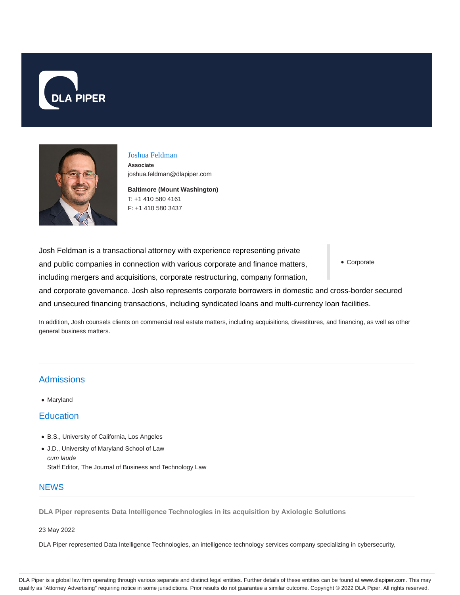



# Joshua Feldman

**Associate** joshua.feldman@dlapiper.com

**Baltimore (Mount Washington)** T: +1 410 580 4161 F: +1 410 580 3437

Corporate Josh Feldman is a transactional attorney with experience representing private and public companies in connection with various corporate and finance matters, including mergers and acquisitions, corporate restructuring, company formation, and corporate governance. Josh also represents corporate borrowers in domestic and cross-border secured and unsecured financing transactions, including syndicated loans and multi-currency loan facilities.

In addition, Josh counsels clients on commercial real estate matters, including acquisitions, divestitures, and financing, as well as other general business matters.

# **Admissions**

Maryland

# **Education**

- B.S., University of California, Los Angeles
- J.D., University of Maryland School of Law cum laude Staff Editor, The Journal of Business and Technology Law

# **NEWS**

**DLA Piper represents Data Intelligence Technologies in its acquisition by Axiologic Solutions**

23 May 2022

DLA Piper represented Data Intelligence Technologies, an intelligence technology services company specializing in cybersecurity,

DLA Piper is a global law firm operating through various separate and distinct legal entities. Further details of these entities can be found at www.dlapiper.com. This may qualify as "Attorney Advertising" requiring notice in some jurisdictions. Prior results do not guarantee a similar outcome. Copyright © 2022 DLA Piper. All rights reserved.